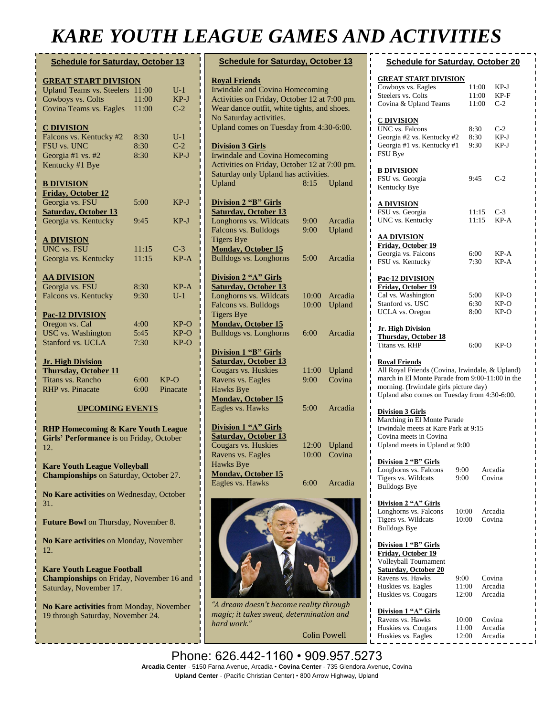# *KARE YOUTH LEAGUE GAMES AND ACTIVITIES*

| <b>Schedule for Saturday, October 13</b>                |       |          |  |  |  |
|---------------------------------------------------------|-------|----------|--|--|--|
| <b>GREAT START DIVISION</b>                             |       |          |  |  |  |
| Upland Teams vs. Steelers                               | 11:00 | $U-1$    |  |  |  |
| Cowboys vs. Colts                                       | 11:00 | $KP-J$   |  |  |  |
| Covina Teams vs. Eagles                                 | 11:00 | $C-2$    |  |  |  |
| <b>C DIVISION</b>                                       |       |          |  |  |  |
| Falcons vs. Kentucky #2                                 | 8:30  | $U-1$    |  |  |  |
| FSU vs. UNC                                             | 8:30  | $C-2$    |  |  |  |
| Georgia #1 vs. #2                                       | 8:30  | $KP-J$   |  |  |  |
| Kentucky #1 Bye                                         |       |          |  |  |  |
| <b>B DIVISION</b>                                       |       |          |  |  |  |
| <b>Friday, October 12</b>                               |       |          |  |  |  |
| Georgia vs. FSU                                         | 5:00  | $KP-J$   |  |  |  |
| <b>Saturday, October 13</b>                             |       |          |  |  |  |
| Georgia vs. Kentucky                                    | 9:45  | $KP-J$   |  |  |  |
| <u>A DIVISION</u>                                       |       |          |  |  |  |
| <b>UNC</b> vs. FSU                                      | 11:15 | $C-3$    |  |  |  |
| Georgia vs. Kentucky                                    | 11:15 | $KP-A$   |  |  |  |
| <b>AA DIVISION</b>                                      |       |          |  |  |  |
| Georgia vs. FSU                                         | 8:30  | $KP-A$   |  |  |  |
| Falcons vs. Kentucky                                    | 9:30  | $U-1$    |  |  |  |
| <b>Pac-12 DIVISION</b>                                  |       |          |  |  |  |
| Oregon vs. Cal                                          | 4:00  | KP-O     |  |  |  |
| <b>USC</b> vs. Washington                               | 5:45  | $KP-O$   |  |  |  |
| Stanford vs. UCLA                                       | 7:30  | $KP-O$   |  |  |  |
| <b>Jr. High Division</b><br><b>Thursday, October 11</b> |       |          |  |  |  |
| Titans vs. Rancho                                       | 6:00  | $KP-O$   |  |  |  |
| <b>RHP</b> vs. Pinacate                                 | 6:00  | Pinacate |  |  |  |
| <b>UPCOMING EVENTS</b>                                  |       |          |  |  |  |

**RHP Homecoming & Kare Youth League Girls' Performance** is on Friday, October 12.

**Kare Youth League Volleyball Championships** on Saturday, October 27. **No Kare activities** on Wednesday, October

31.

**Future Bowl** on Thursday, November 8.

**No Kare activities** on Monday, November 12.

**Kare Youth League Football Championships** on Friday, November 16 and Saturday, November 17.

**No Kare activities** from Monday, November 19 through Saturday, November 24.

**Breakfast with Santa and Basketball** 

| <b>Schedule for Saturday, October 13</b>       |       |         |
|------------------------------------------------|-------|---------|
| <b>Royal Friends</b>                           |       |         |
| Irwindale and Covina Homecoming                |       |         |
| Activities on Friday, October 12 at 7:00 pm.   |       |         |
| Wear dance outfit, white tights, and shoes.    |       |         |
| No Saturday activities.                        |       |         |
| Upland comes on Tuesday from 4:30-6:00.        |       |         |
| <b>Division 3 Girls</b>                        |       |         |
| Irwindale and Covina Homecoming                |       |         |
| Activities on Friday, October 12 at 7:00 pm.   |       |         |
| Saturday only Upland has activities.           |       |         |
| Upland                                         | 8:15  | Upland  |
| <b>Division 2 "B" Girls</b>                    |       |         |
| Saturday, October 13                           |       |         |
| Longhorns vs. Wildcats                         | 9:00  | Arcadia |
| Falcons vs. Bulldogs                           | 9:00  | Upland  |
| <b>Tigers Bye</b>                              |       |         |
| <b>Monday, October 15</b>                      |       |         |
| <b>Bulldogs vs. Longhorns</b>                  | 5:00  | Arcadia |
| Division 2 "A" Girls                           |       |         |
| Saturday, October 13<br>Longhorns vs. Wildcats |       | Arcadia |
| Falcons vs. Bulldogs                           | 10:00 |         |
| <b>Tigers Bye</b>                              | 10:00 | Upland  |
| <b>Monday, October 15</b>                      |       |         |
| <b>Bulldogs vs. Longhorns</b>                  | 6:00  | Arcadia |
| <b>Division 1 "B" Girls</b>                    |       |         |
| <b>Saturday, October 13</b>                    |       |         |
| Cougars vs. Huskies                            | 11:00 | Upland  |
| Ravens vs. Eagles                              | 9:00  | Covina  |
| <b>Hawks Bye</b>                               |       |         |
| <b>Monday, October 15</b>                      |       |         |
| Eagles vs. Hawks                               | 5:00  | Arcadia |
| <b>Division 1 "A" Girls</b>                    |       |         |
| <b>Saturday, October 13</b>                    |       |         |
| Cougars vs. Huskies                            | 12:00 | Upland  |
| Ravens vs. Eagles                              | 10:00 | Covina  |
| Hawks Bye                                      |       |         |
| <b>Monday, October 15</b>                      |       |         |
| Eagles vs. Hawks                               | 6:00  | Arcadia |
|                                                |       |         |
|                                                |       |         |
|                                                |       |         |

| Cowboys vs. Eagles<br>I                                                                                                                                                                      |                | 11:00 | KP-J               |
|----------------------------------------------------------------------------------------------------------------------------------------------------------------------------------------------|----------------|-------|--------------------|
| Steelers vs. Colts                                                                                                                                                                           |                | 11:00 | KP-F               |
| Covina & Upland Teams<br>ı<br>Π                                                                                                                                                              |                | 11:00 | $C-2$              |
| ı<br><b>C DIVISION</b>                                                                                                                                                                       |                |       |                    |
| ı<br>UNC vs. Falcons<br>ī                                                                                                                                                                    | 8:30           |       | $C-2$              |
| I<br>Georgia #2 vs. Kentucky #2                                                                                                                                                              | 8:30           |       | KP-J               |
| ı<br>Georgia #1 vs. Kentucky #1                                                                                                                                                              | 9:30           |       | KP-J               |
| ı<br>FSU Bye<br>Ī                                                                                                                                                                            |                |       |                    |
| ı                                                                                                                                                                                            |                |       |                    |
| I<br><b>B DIVISION</b>                                                                                                                                                                       |                |       |                    |
| ı<br>FSU vs. Georgia<br>ı                                                                                                                                                                    | 9:45           |       | $C-2$              |
| ı<br>Kentucky Bye                                                                                                                                                                            |                |       |                    |
| ı<br>ı                                                                                                                                                                                       |                |       |                    |
| <b>A DIVISION</b><br>ī                                                                                                                                                                       |                |       |                    |
| ı<br>FSU vs. Georgia<br>ı                                                                                                                                                                    |                | 11:15 | C-3                |
| UNC vs. Kentucky<br>Т                                                                                                                                                                        |                | 11:15 | KP-A               |
| ı<br><u>AA DIVISION</u>                                                                                                                                                                      |                |       |                    |
| ı<br>Friday, October 19                                                                                                                                                                      |                |       |                    |
| Georgia vs. Falcons<br>ı                                                                                                                                                                     | 6:00           |       | KP-A               |
| FSU vs. Kentucky<br>ī                                                                                                                                                                        | 7:30           |       | $KP-A$             |
|                                                                                                                                                                                              |                |       |                    |
| Pac-12 DIVISION                                                                                                                                                                              |                |       |                    |
| Friday, October 19                                                                                                                                                                           |                |       |                    |
| Cal vs. Washington                                                                                                                                                                           | 5:00           |       | KP-O               |
| Stanford vs. USC                                                                                                                                                                             | 6:30           |       | KP-O               |
| <b>UCLA</b> vs. Oregon                                                                                                                                                                       | 8:00           |       | KP-O               |
| <b>Jr. High Division</b>                                                                                                                                                                     |                |       |                    |
| <b>Thursday, October 18</b>                                                                                                                                                                  |                |       |                    |
| Titans vs. RHP                                                                                                                                                                               | 6:00           |       | KP-O               |
| All Royal Friends (Covina, Irwindale, & Upland)<br>march in El Monte Parade from 9:00-11:00 in the<br>morning. (Irwindale girls picture day)<br>Upland also comes on Tuesday from 4:30-6:00. |                |       |                    |
| <b>Division 3 Girls</b><br>Marching in El Monte Parade<br>Irwindale meets at Kare Park at 9:15                                                                                               |                |       |                    |
| Covina meets in Covina                                                                                                                                                                       |                |       |                    |
| Upland meets in Upland at 9:00                                                                                                                                                               |                |       |                    |
|                                                                                                                                                                                              |                |       |                    |
| Division 2 "B" Girls                                                                                                                                                                         |                |       |                    |
| Longhorns vs. Falcons<br>Tigers vs. Wildcats                                                                                                                                                 | 9:00           |       | Arcadia<br>Covina  |
| <b>Bulldogs Bye</b>                                                                                                                                                                          | 9:00           |       |                    |
|                                                                                                                                                                                              |                |       |                    |
| Division 2 "A" Girls                                                                                                                                                                         |                |       |                    |
| Longhorns vs. Falcons                                                                                                                                                                        | 10:00          |       | Arcadia            |
| Tigers vs. Wildcats                                                                                                                                                                          | 10:00          |       | Covina             |
| <b>Bulldogs Bye</b>                                                                                                                                                                          |                |       |                    |
|                                                                                                                                                                                              |                |       |                    |
| <b>Division 1 "B" Girls</b><br>Friday, October 19                                                                                                                                            |                |       |                    |
| Volleyball Tournament                                                                                                                                                                        |                |       |                    |
| <b>Saturday, October 20</b>                                                                                                                                                                  |                |       |                    |
| Ravens vs. Hawks                                                                                                                                                                             | 9:00           |       | Covina             |
| Huskies vs. Eagles                                                                                                                                                                           | 11:00          |       | Arcadia            |
| Huskies vs. Cougars                                                                                                                                                                          | 12:00          |       | Arcadia            |
|                                                                                                                                                                                              |                |       |                    |
| Division 1 "A" Girls                                                                                                                                                                         |                |       |                    |
|                                                                                                                                                                                              |                |       |                    |
| Ravens vs. Hawks                                                                                                                                                                             | 10:00          |       | Covina             |
| ı<br>Huskies vs. Cougars<br>ı<br>ı<br>Huskies vs. Eagles                                                                                                                                     | 11:00<br>12:00 |       | Arcadia<br>Arcadia |

**Schedule for Saturday, October 20**

**GREAT START DIVISION**

Phone: 626.442-1160 • 909.957.5273 **Arcadia Center** - 5150 Farna Avenue, Arcadia • **Covina Center** - 735 Glendora Avenue, Covina **Monrovia Parade** on Thursday, December 6. **Upland Center** - (Pacific Christian Center) • 800 Arrow Highway, Upland

*hard work."*

*"A dream doesn't become reality through magic; it takes sweat, determination and* 

Colin Powell